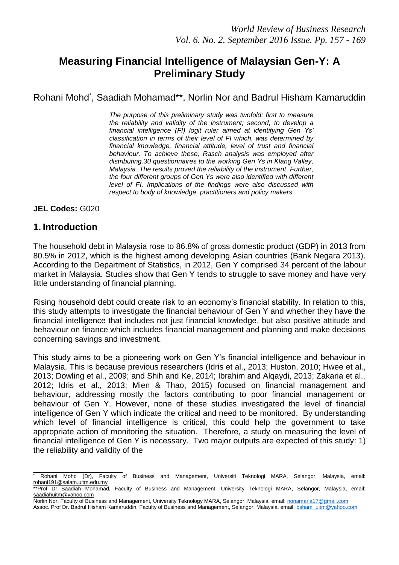# **Measuring Financial Intelligence of Malaysian Gen-Y: A Preliminary Study**

## Rohani Mohd\* , Saadiah Mohamad\*\*, Norlin Nor and Badrul Hisham Kamaruddin

*The purpose of this preliminary study was twofold: first to measure the reliability and validity of the instrument; second, to develop a financial intelligence (FI) logit ruler aimed at identifying Gen Ys' classification in terms of their level of FI which, was determined by financial knowledge, financial attitude, level of trust and financial behaviour. To achieve these, Rasch analysis was employed after distributing.30 questionnaires to the working Gen Ys in Klang Valley, Malaysia. The results proved the reliability of the instrument. Further, the four different groups of Gen Ys were also identified with different level of FI. Implications of the findings were also discussed with respect to body of knowledge, practitioners and policy makers.*

**JEL Codes:** G020

### **1. Introduction**

\_\_\_\_\_\_\_\_\_\_\_\_\_\_\_\_\_\_\_\_

The household debt in Malaysia rose to 86.8% of gross domestic product (GDP) in 2013 from 80.5% in 2012, which is the highest among developing Asian countries (Bank Negara 2013). According to the Department of Statistics, in 2012, Gen Y comprised 34 percent of the labour market in Malaysia. Studies show that Gen Y tends to struggle to save money and have very little understanding of financial planning.

Rising household debt could create risk to an economy's financial stability. In relation to this, this study attempts to investigate the financial behaviour of Gen Y and whether they have the financial intelligence that includes not just financial knowledge, but also positive attitude and behaviour on finance which includes financial management and planning and make decisions concerning savings and investment.

This study aims to be a pioneering work on Gen Y's financial intelligence and behaviour in Malaysia. This is because previous researchers (Idris et al., 2013; Huston, 2010; Hwee et al., 2013; Dowling et al., 2009; and Shih and Ke, 2014; Ibrahim and Alqaydi, 2013; Zakaria et al., 2012; Idris et al., 2013; Mien & Thao, 2015) focused on financial management and behaviour, addressing mostly the factors contributing to poor financial management or behaviour of Gen Y. However, none of these studies investigated the level of financial intelligence of Gen Y which indicate the critical and need to be monitored. By understanding which level of financial intelligence is critical, this could help the government to take appropriate action of monitoring the situation. Therefore, a study on measuring the level of financial intelligence of Gen Y is necessary. Two major outputs are expected of this study: 1) the reliability and validity of the

<sup>\*</sup> Rohani Mohd (Dr), Faculty of Business and Management, Universiti Teknologi MARA, Selangor, Malaysia, email: [rohani191@salam.uitm.edu.my](mailto:rohani191@salam.uitm.edu.my)

<sup>\*\*</sup>Prof Dr Saadiah Mohamad, Faculty of Business and Management, University Teknologi MARA, Selangor, Malaysia, email: [saadiahuitm@yahoo.com](mailto:saadiahuitm@yahoo.com)

Norlin Nor, Faculty of Business and Management, University Teknology MARA, Selangor, Malaysia, email[: nonamaria17@gmail.com](mailto:nonamaria17@gmail.com) Assoc. Prof Dr. Badrul Hisham Kamaruddin, Faculty of Business and Management, Selangor, Malaysia, email: [bsham\\_uitm@yahoo.com](mailto:bsham_uitm@yahoo.com)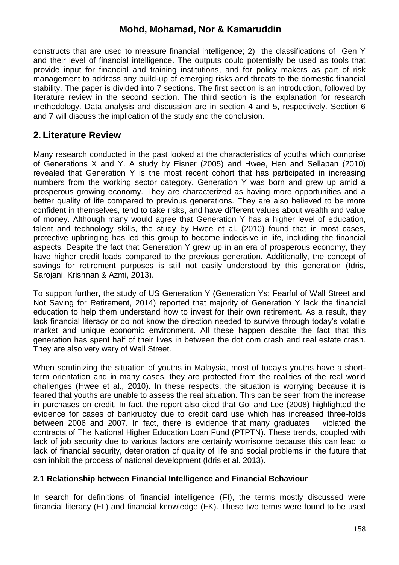constructs that are used to measure financial intelligence; 2) the classifications of Gen Y and their level of financial intelligence. The outputs could potentially be used as tools that provide input for financial and training institutions, and for policy makers as part of risk management to address any build-up of emerging risks and threats to the domestic financial stability. The paper is divided into 7 sections. The first section is an introduction, followed by literature review in the second section. The third section is the explanation for research methodology. Data analysis and discussion are in section 4 and 5, respectively. Section 6 and 7 will discuss the implication of the study and the conclusion.

### **2. Literature Review**

Many research conducted in the past looked at the characteristics of youths which comprise of Generations X and Y. A study by Eisner (2005) and Hwee, Hen and Sellapan (2010) revealed that Generation Y is the most recent cohort that has participated in increasing numbers from the working sector category. Generation Y was born and grew up amid a prosperous growing economy. They are characterized as having more opportunities and a better quality of life compared to previous generations. They are also believed to be more confident in themselves, tend to take risks, and have different values about wealth and value of money. Although many would agree that Generation Y has a higher level of education, talent and technology skills, the study by Hwee et al. (2010) found that in most cases, protective upbringing has led this group to become indecisive in life, including the financial aspects. Despite the fact that Generation Y grew up in an era of prosperous economy, they have higher credit loads compared to the previous generation. Additionally, the concept of savings for retirement purposes is still not easily understood by this generation (Idris, Sarojani, Krishnan & Azmi, 2013).

To support further, the study of US Generation Y (Generation Ys: Fearful of Wall Street and Not Saving for Retirement, 2014) reported that majority of Generation Y lack the financial education to help them understand how to invest for their own retirement. As a result, they lack financial literacy or do not know the direction needed to survive through today's volatile market and unique economic environment. All these happen despite the fact that this generation has spent half of their lives in between the dot com crash and real estate crash. They are also very wary of Wall Street.

When scrutinizing the situation of youths in Malaysia, most of today's youths have a shortterm orientation and in many cases, they are protected from the realities of the real world challenges (Hwee et al., 2010). In these respects, the situation is worrying because it is feared that youths are unable to assess the real situation. This can be seen from the increase in purchases on credit. In fact, the report also cited that Goi and Lee (2008) highlighted the evidence for cases of bankruptcy due to credit card use which has increased three-folds between 2006 and 2007. In fact, there is evidence that many graduates violated the contracts of The National Higher Education Loan Fund (PTPTN). These trends, coupled with lack of job security due to various factors are certainly worrisome because this can lead to lack of financial security, deterioration of quality of life and social problems in the future that can inhibit the process of national development (Idris et al. 2013).

#### **2.1 Relationship between Financial Intelligence and Financial Behaviour**

In search for definitions of financial intelligence (FI), the terms mostly discussed were financial literacy (FL) and financial knowledge (FK). These two terms were found to be used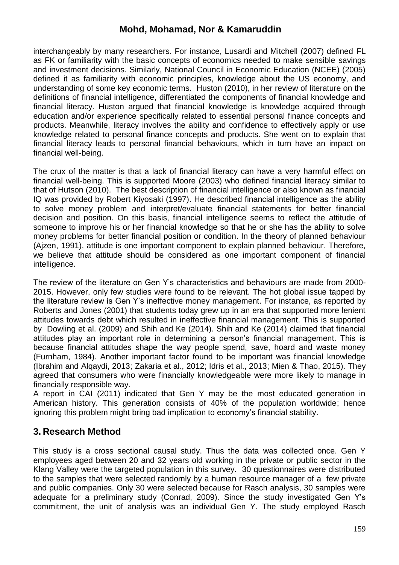interchangeably by many researchers. For instance, Lusardi and Mitchell (2007) defined FL as FK or familiarity with the basic concepts of economics needed to make sensible savings and investment decisions. Similarly, National Council in Economic Education (NCEE) (2005) defined it as familiarity with economic principles, knowledge about the US economy, and understanding of some key economic terms. Huston (2010), in her review of literature on the definitions of financial intelligence, differentiated the components of financial knowledge and financial literacy. Huston argued that financial knowledge is knowledge acquired through education and/or experience specifically related to essential personal finance concepts and products. Meanwhile, literacy involves the ability and confidence to effectively apply or use knowledge related to personal finance concepts and products. She went on to explain that financial literacy leads to personal financial behaviours, which in turn have an impact on financial well-being.

The crux of the matter is that a lack of financial literacy can have a very harmful effect on financial well-being. This is supported Moore (2003) who defined financial literacy similar to that of Hutson (2010). The best description of financial intelligence or also known as financial IQ was provided by Robert Kiyosaki (1997). He described financial intelligence as the ability to solve money problem and interpret/evaluate financial statements for better financial decision and position. On this basis, financial intelligence seems to reflect the attitude of someone to improve his or her financial knowledge so that he or she has the ability to solve money problems for better financial position or condition. In the theory of planned behaviour (Ajzen, 1991), attitude is one important component to explain planned behaviour. Therefore, we believe that attitude should be considered as one important component of financial intelligence.

The review of the literature on Gen Y's characteristics and behaviours are made from 2000- 2015. However, only few studies were found to be relevant. The hot global issue tapped by the literature review is Gen Y's ineffective money management. For instance, as reported by Roberts and Jones (2001) that students today grew up in an era that supported more lenient attitudes towards debt which resulted in ineffective financial management. This is supported by Dowling et al. (2009) and Shih and Ke (2014). Shih and Ke (2014) claimed that financial attitudes play an important role in determining a person's financial management. This is because financial attitudes shape the way people spend, save, hoard and waste money (Furnham, 1984). Another important factor found to be important was financial knowledge (Ibrahim and Alqaydi, 2013; Zakaria et al., 2012; Idris et al., 2013; Mien & Thao, 2015). They agreed that consumers who were financially knowledgeable were more likely to manage in financially responsible way.

A report in CAI (2011) indicated that Gen Y may be the most educated generation in American history. This generation consists of 40% of the population worldwide; hence ignoring this problem might bring bad implication to economy's financial stability.

## **3. Research Method**

This study is a cross sectional causal study. Thus the data was collected once. Gen Y employees aged between 20 and 32 years old working in the private or public sector in the Klang Valley were the targeted population in this survey. 30 questionnaires were distributed to the samples that were selected randomly by a human resource manager of a few private and public companies. Only 30 were selected because for Rasch analysis, 30 samples were adequate for a preliminary study (Conrad, 2009). Since the study investigated Gen Y's commitment, the unit of analysis was an individual Gen Y. The study employed Rasch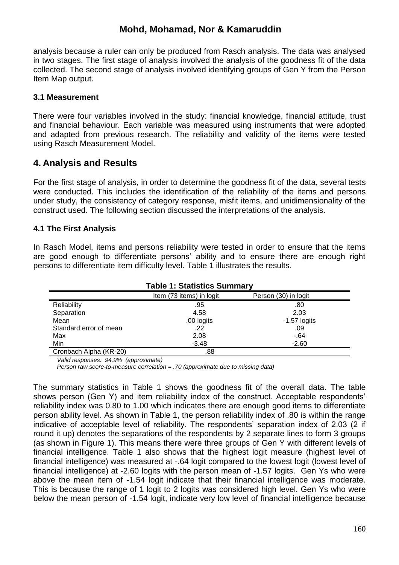analysis because a ruler can only be produced from Rasch analysis. The data was analysed in two stages. The first stage of analysis involved the analysis of the goodness fit of the data collected. The second stage of analysis involved identifying groups of Gen Y from the Person Item Map output.

#### **3.1 Measurement**

There were four variables involved in the study: financial knowledge, financial attitude, trust and financial behaviour. Each variable was measured using instruments that were adopted and adapted from previous research. The reliability and validity of the items were tested using Rasch Measurement Model.

### **4. Analysis and Results**

For the first stage of analysis, in order to determine the goodness fit of the data, several tests were conducted. This includes the identification of the reliability of the items and persons under study, the consistency of category response, misfit items, and unidimensionality of the construct used. The following section discussed the interpretations of the analysis.

#### **4.1 The First Analysis**

In Rasch Model, items and persons reliability were tested in order to ensure that the items are good enough to differentiate persons' ability and to ensure there are enough right persons to differentiate item difficulty level. Table 1 illustrates the results.

| <b>Table 1: Statistics Summary</b> |                          |                      |  |  |  |  |
|------------------------------------|--------------------------|----------------------|--|--|--|--|
|                                    | Item (73 items) in logit | Person (30) in logit |  |  |  |  |
| Reliability                        | .95                      | .80                  |  |  |  |  |
| Separation                         | 4.58                     | 2.03                 |  |  |  |  |
| Mean                               | .00 logits               | $-1.57$ logits       |  |  |  |  |
| Standard error of mean             | .22                      | .09                  |  |  |  |  |
| Max                                | 2.08                     | $-64$                |  |  |  |  |
| Min                                | $-3.48$                  | $-2.60$              |  |  |  |  |
| Cronbach Alpha (KR-20)             | .88                      |                      |  |  |  |  |

*Valid responses: 94.9% (approximate)*

*Person raw score-to-measure correlation = .70 (approximate due to missing data)*

The summary statistics in Table 1 shows the goodness fit of the overall data. The table shows person (Gen Y) and item reliability index of the construct. Acceptable respondents' reliability index was 0.80 to 1.00 which indicates there are enough good items to differentiate person ability level. As shown in Table 1, the person reliability index of .80 is within the range indicative of acceptable level of reliability. The respondents' separation index of 2.03 (2 if round it up) denotes the separations of the respondents by 2 separate lines to form 3 groups (as shown in Figure 1). This means there were three groups of Gen Y with different levels of financial intelligence. Table 1 also shows that the highest logit measure (highest level of financial intelligence) was measured at -.64 logit compared to the lowest logit (lowest level of financial intelligence) at -2.60 logits with the person mean of -1.57 logits. Gen Ys who were above the mean item of -1.54 logit indicate that their financial intelligence was moderate. This is because the range of 1 logit to 2 logits was considered high level. Gen Ys who were below the mean person of -1.54 logit, indicate very low level of financial intelligence because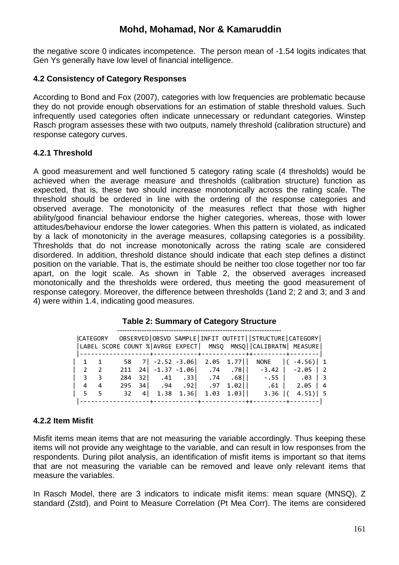the negative score 0 indicates incompetence. The person mean of -1.54 logits indicates that Gen Ys generally have low level of financial intelligence.

#### **4.2 Consistency of Category Responses**

According to Bond and Fox (2007), categories with low frequencies are problematic because they do not provide enough observations for an estimation of stable threshold values. Such infrequently used categories often indicate unnecessary or redundant categories. Winstep Rasch program assesses these with two outputs, namely threshold (calibration structure) and response category curves.

#### **4.2.1 Threshold**

A good measurement and well functioned 5 category rating scale (4 thresholds) would be achieved when the average measure and thresholds (calibration structure) function as expected, that is, these two should increase monotonically across the rating scale. The threshold should be ordered in line with the ordering of the response categories and observed average. The monotonicity of the measures reflect that those with higher ability/good financial behaviour endorse the higher categories, whereas, those with lower attitudes/behaviour endorse the lower categories. When this pattern is violated, as indicated by a lack of monotonicity in the average measures, collapsing categories is a possibility. Thresholds that do not increase monotonically across the rating scale are considered disordered. In addition, threshold distance should indicate that each step defines a distinct position on the variable. That is, the estimate should be neither too close together nor too far apart, on the logit scale. As shown in Table 2, the observed averages increased monotonically and the thresholds were ordered, thus meeting the good measurement of response category. Moreover, the difference between thresholds (1and 2; 2 and 3; and 3 and 4) were within 1.4, indicating good measures.

|                                    |                                    |     |     |  |  | LABEL SCORE COUNT % AVRGE EXPECT  MNSQ MNSQ  CALIBRATN  MEASURE |            |                                |
|------------------------------------|------------------------------------|-----|-----|--|--|-----------------------------------------------------------------|------------|--------------------------------|
|                                    | $1 \quad 1$                        |     |     |  |  | 58 7 - 2.52 - 3.06 2.05 1.77 NONE ( - 4.56) 1                   |            |                                |
|                                    | $\begin{array}{ccc} \end{array}$ 2 |     |     |  |  | 211 24 -1.37 -1.06 .74 .78 -3.42 -2.05 2                        |            |                                |
| $\begin{array}{ccc} \end{array}$ 3 |                                    | 284 |     |  |  |                                                                 |            |                                |
| 4                                  | $\overline{4}$                     | 295 |     |  |  |                                                                 |            | $\begin{array}{c} \end{array}$ |
|                                    | 5 <sub>5</sub>                     | 32  | 4 I |  |  | $1.38$ $1.36$ $1.03$ $1.03$ $\vert$ $3.36$ $\vert$ (            | $4.51$ ] 5 |                                |
|                                    |                                    |     |     |  |  |                                                                 |            |                                |

#### **Table 2: Summary of Category Structure**

#### **4.2.2 Item Misfit**

Misfit items mean items that are not measuring the variable accordingly. Thus keeping these items will not provide any weightage to the variable, and can result in low responses from the respondents. During pilot analysis, an identification of misfit items is important so that items that are not measuring the variable can be removed and leave only relevant items that measure the variables.

In Rasch Model, there are 3 indicators to indicate misfit items: mean square (MNSQ), Z standard (Zstd), and Point to Measure Correlation (Pt Mea Corr). The items are considered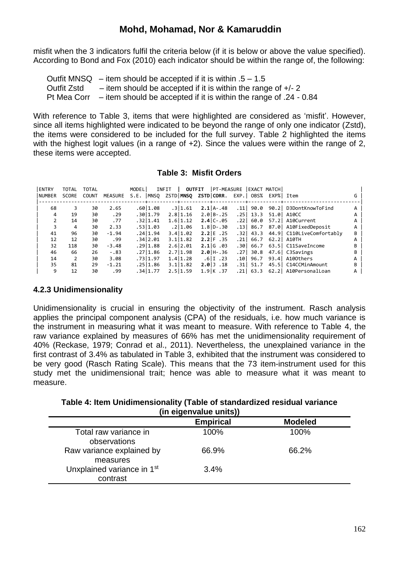misfit when the 3 indicators fulfil the criteria below (if it is below or above the value specified). According to Bond and Fox (2010) each indicator should be within the range of, the following:

Outfit MNSQ  $-$  item should be accepted if it is within  $.5 - 1.5$ Outfit Zstd  $-$  item should be accepted if it is within the range of  $+/- 2$ Pt Mea Corr – item should be accepted if it is within the range of .24 - 0.84

With reference to Table 3, items that were highlighted are considered as 'misfit'. However, since all items highlighted were indicated to be beyond the range of only one indicator (Zstd), the items were considered to be included for the full survey. Table 2 highlighted the items with the highest logit values (in a range of +2). Since the values were within the range of 2, these items were accepted.

| <b>Table 3: Misfit Orders</b> |  |  |
|-------------------------------|--|--|
|-------------------------------|--|--|

| <b>ENTRY</b>  | <b>TOTAL</b> | <b>TOTAL</b> |                | MODEL |          | INFIT |           | <b>OUTFIT</b> | PT-MEASURE      |        |           | <b>LEXACT MATCHI</b> |                          |   |  |
|---------------|--------------|--------------|----------------|-------|----------|-------|-----------|---------------|-----------------|--------|-----------|----------------------|--------------------------|---|--|
| <b>NUMBER</b> | <b>SCORE</b> | <b>COUNT</b> | <b>MEASURE</b> | S.E.  | MNSQ     |       | ZSTD MNSO |               | ZSTD CORR.      |        | EXP. OBS% |                      | EXP%  Item               |   |  |
|               |              |              |                |       |          |       |           |               |                 |        |           |                      |                          |   |  |
| 68            |              | 30           | 2.65           |       | .60 1.08 |       | .3 1.61   |               | $2.1$ $A - .48$ | . 11   | 90.0      | 90.21                | D3DontKnowToFind         |   |  |
| 4             | 19           | 30           | .29            |       | .3011.79 |       | 2.811.16  |               | $2.01B - .25$   | . 25 l | 13.3      | 51.0                 | A10CC                    |   |  |
| $\mathcal{P}$ | 14           | 30           | .77            |       | .32 1.41 |       | 1.6 1.12  |               | $2.4$ C-.05     | . 22 l | 60.0      | 57.2                 | A10Current               |   |  |
|               | 4            | 30           | 2.33           |       | .53 1.03 |       | .2 1.06   |               | $1.8$ ID-.30    | . 13 l | 86.7      | 87.01                | A10FixedDeposit          |   |  |
| 41            | 96           | 30           | $-1.94$        |       | .24 1.94 |       | 3.4 1.02  |               | $2.2$   E . 25  | . 32 l | 43.3      |                      | 44.9 C110LiveComfortably | B |  |
| 12            | 12           | 30           | .99            |       | .34 2.01 |       | 3.1 1.82  |               | $2.2$ F $.35$   | . 21   | 66.7      | 62.2                 | A10TH                    |   |  |
| 32            | 118          | 30           | $-3.48$        |       | .29 1.88 |       | 2.6 2.01  |               | $2.1$ G $.03$   | .301   | 66.7      |                      | 63.5 C11SaveIncome       |   |  |
| 46            | 66           | 26           | $-.83$         |       | .2711.86 |       | 2.71.98   |               | $2.0$ H-.36     | .271   | 30.8      |                      | 47.6 C3Savings           |   |  |
| 14            |              | 30           | 3.08           |       | .73 1.97 |       | 1.4 1.28  |               | .6 I.23         | .101   | 96.7      | 93.4                 | A100thers                |   |  |
| 35            | 81           | 29           | $-1.21$        |       | .2511.86 |       | 3.1 1.82  |               | $2.01$ $.18$    | .311   | 51.7      |                      | 45.5   C14CCMinAmount    |   |  |
| 9             | 12           | 30           | .99            |       | .34 1.77 |       | 2.511.59  |               | $1.9$ K $.37$   | . 21 l | 63.3      |                      | 62.2 A10PersonalLoan     |   |  |

#### **4.2.3 Unidimensionality**

Unidimensionality is crucial in ensuring the objectivity of the instrument. Rasch analysis applies the principal component analysis (CPA) of the residuals, i.e. how much variance is the instrument in measuring what it was meant to measure. With reference to Table 4, the raw variance explained by measures of 66% has met the unidimensionality requirement of 40% (Reckase, 1979; Conrad et al., 2011). Nevertheless, the unexplained variance in the first contrast of 3.4% as tabulated in Table 3, exhibited that the instrument was considered to be very good (Rasch Rating Scale). This means that the 73 item-instrument used for this study met the unidimensional trait; hence was able to measure what it was meant to measure.

**Table 4: Item Unidimensionality (Table of standardized residual variance (in eigenvalue units))**

|                                                    | <b>Empirical</b> | <b>Modeled</b> |  |
|----------------------------------------------------|------------------|----------------|--|
| Total raw variance in<br>observations              | 100%             | 100%           |  |
| Raw variance explained by<br>measures              | 66.9%            | 66.2%          |  |
| Unxplained variance in 1 <sup>st</sup><br>contrast | 3.4%             |                |  |
|                                                    |                  |                |  |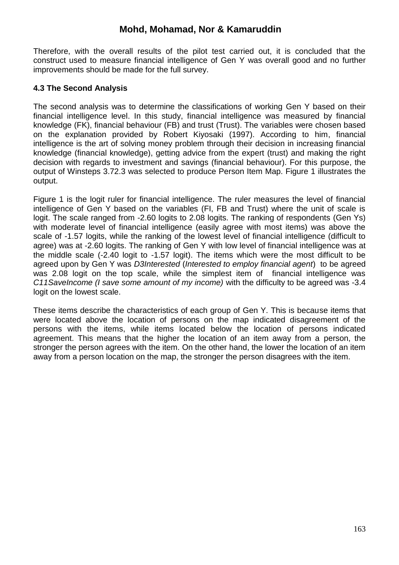Therefore, with the overall results of the pilot test carried out, it is concluded that the construct used to measure financial intelligence of Gen Y was overall good and no further improvements should be made for the full survey.

#### **4.3 The Second Analysis**

The second analysis was to determine the classifications of working Gen Y based on their financial intelligence level. In this study, financial intelligence was measured by financial knowledge (FK), financial behaviour (FB) and trust (Trust). The variables were chosen based on the explanation provided by Robert Kiyosaki (1997). According to him, financial intelligence is the art of solving money problem through their decision in increasing financial knowledge (financial knowledge), getting advice from the expert (trust) and making the right decision with regards to investment and savings (financial behaviour). For this purpose, the output of Winsteps 3.72.3 was selected to produce Person Item Map. Figure 1 illustrates the output.

Figure 1 is the logit ruler for financial intelligence. The ruler measures the level of financial intelligence of Gen Y based on the variables (FI, FB and Trust) where the unit of scale is logit. The scale ranged from -2.60 logits to 2.08 logits. The ranking of respondents (Gen Ys) with moderate level of financial intelligence (easily agree with most items) was above the scale of -1.57 logits, while the ranking of the lowest level of financial intelligence (difficult to agree) was at -2.60 logits. The ranking of Gen Y with low level of financial intelligence was at the middle scale (-2.40 logit to -1.57 logit). The items which were the most difficult to be agreed upon by Gen Y was *D3Interested* (*Interested to employ financial agent*) to be agreed was 2.08 logit on the top scale, while the simplest item of financial intelligence was *C11SaveIncome (I save some amount of my income)* with the difficulty to be agreed was -3.4 logit on the lowest scale.

These items describe the characteristics of each group of Gen Y. This is because items that were located above the location of persons on the map indicated disagreement of the persons with the items, while items located below the location of persons indicated agreement. This means that the higher the location of an item away from a person, the stronger the person agrees with the item. On the other hand, the lower the location of an item away from a person location on the map, the stronger the person disagrees with the item.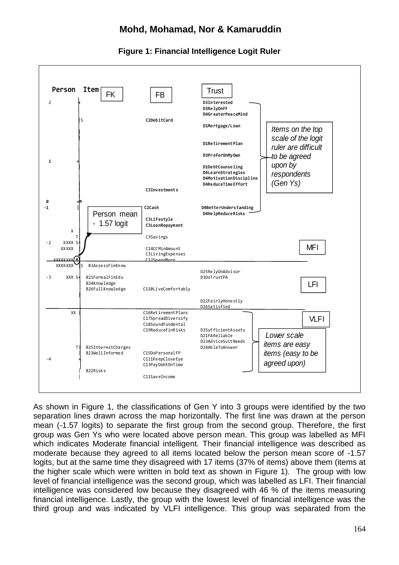

#### **Figure 1: Financial Intelligence Logit Ruler**

As shown in Figure 1, the classifications of Gen Y into 3 groups were identified by the two separation lines drawn across the map horizontally. The first line was drawn at the person mean (-1.57 logits) to separate the first group from the second group. Therefore, the first group was Gen Ys who were located above person mean. This group was labelled as MFI which indicates Moderate financial intelligent. Their financial intelligence was described as moderate because they agreed to all items located below the person mean score of -1.57 logits, but at the same time they disagreed with 17 items (37% of items) above them (items at the higher scale which were written in bold text as shown in Figure 1). The group with low level of financial intelligence was the second group, which was labelled as LFI. Their financial intelligence was considered low because they disagreed with 46 % of the items measuring financial intelligence. Lastly, the group with the lowest level of financial intelligence was the third group and was indicated by VLFI intelligence. This group was separated from the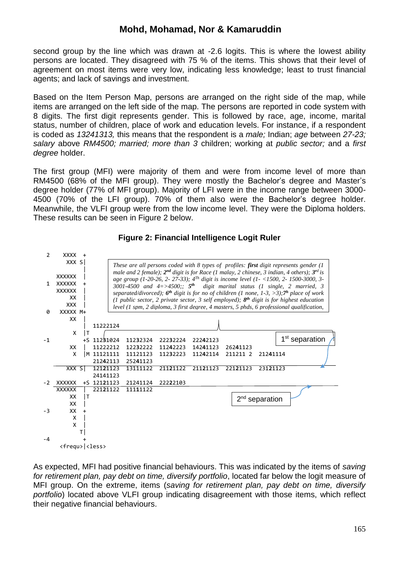second group by the line which was drawn at -2.6 logits. This is where the lowest ability persons are located. They disagreed with 75 % of the items. This shows that their level of agreement on most items were very low, indicating less knowledge; least to trust financial agents; and lack of savings and investment.

Based on the Item Person Map, persons are arranged on the right side of the map, while items are arranged on the left side of the map. The persons are reported in code system with 8 digits. The first digit represents gender. This is followed by race, age, income, marital status, number of children, place of work and education levels. For instance, if a respondent is coded as *13241313,* this means that the respondent is a *male;* Indian; *age* between *27-23; salary* above *RM4500; married; more than 3* children; working at *public sector;* and a *first degree* holder.

The first group (MFI) were majority of them and were from income level of more than RM4500 (68% of the MFI group). They were mostly the Bachelor's degree and Master's degree holder (77% of MFI group). Majority of LFI were in the income range between 3000- 4500 (70% of the LFI group). 70% of them also were the Bachelor's degree holder. Meanwhile, the VLFI group were from the low income level. They were the Diploma holders. These results can be seen in Figure 2 below.



#### **Figure 2: Financial Intelligence Logit Ruler**

As expected, MFI had positive financial behaviours. This was indicated by the items of *saving for retirement plan, pay debt on time, diversify portfolio*, located far below the logit measure of MFI group. On the extreme, items (*saving for retirement plan, pay debt on time, diversify portfolio*) located above VLFI group indicating disagreement with those items, which reflect their negative financial behaviours.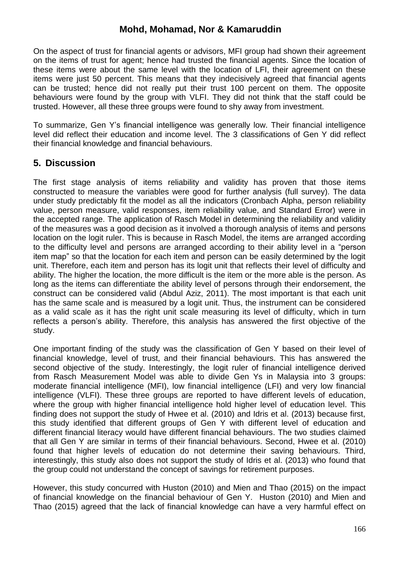On the aspect of trust for financial agents or advisors, MFI group had shown their agreement on the items of trust for agent; hence had trusted the financial agents. Since the location of these items were about the same level with the location of LFI, their agreement on these items were just 50 percent. This means that they indecisively agreed that financial agents can be trusted; hence did not really put their trust 100 percent on them. The opposite behaviours were found by the group with VLFI. They did not think that the staff could be trusted. However, all these three groups were found to shy away from investment.

To summarize, Gen Y's financial intelligence was generally low. Their financial intelligence level did reflect their education and income level. The 3 classifications of Gen Y did reflect their financial knowledge and financial behaviours.

### **5. Discussion**

The first stage analysis of items reliability and validity has proven that those items constructed to measure the variables were good for further analysis (full survey). The data under study predictably fit the model as all the indicators (Cronbach Alpha, person reliability value, person measure, valid responses, item reliability value, and Standard Error) were in the accepted range. The application of Rasch Model in determining the reliability and validity of the measures was a good decision as it involved a thorough analysis of items and persons location on the logit ruler. This is because in Rasch Model, the items are arranged according to the difficulty level and persons are arranged according to their ability level in a "person item map" so that the location for each item and person can be easily determined by the logit unit. Therefore, each item and person has its logit unit that reflects their level of difficulty and ability. The higher the location, the more difficult is the item or the more able is the person. As long as the items can differentiate the ability level of persons through their endorsement, the construct can be considered valid (Abdul Aziz, 2011). The most important is that each unit has the same scale and is measured by a logit unit. Thus, the instrument can be considered as a valid scale as it has the right unit scale measuring its level of difficulty, which in turn reflects a person's ability. Therefore, this analysis has answered the first objective of the study.

One important finding of the study was the classification of Gen Y based on their level of financial knowledge, level of trust, and their financial behaviours. This has answered the second objective of the study. Interestingly, the logit ruler of financial intelligence derived from Rasch Measurement Model was able to divide Gen Ys in Malaysia into 3 groups: moderate financial intelligence (MFI), low financial intelligence (LFI) and very low financial intelligence (VLFI). These three groups are reported to have different levels of education, where the group with higher financial intelligence hold higher level of education level. This finding does not support the study of Hwee et al. (2010) and Idris et al. (2013) because first, this study identified that different groups of Gen Y with different level of education and different financial literacy would have different financial behaviours. The two studies claimed that all Gen Y are similar in terms of their financial behaviours. Second, Hwee et al. (2010) found that higher levels of education do not determine their saving behaviours. Third, interestingly, this study also does not support the study of Idris et al. (2013) who found that the group could not understand the concept of savings for retirement purposes.

However, this study concurred with Huston (2010) and Mien and Thao (2015) on the impact of financial knowledge on the financial behaviour of Gen Y. Huston (2010) and Mien and Thao (2015) agreed that the lack of financial knowledge can have a very harmful effect on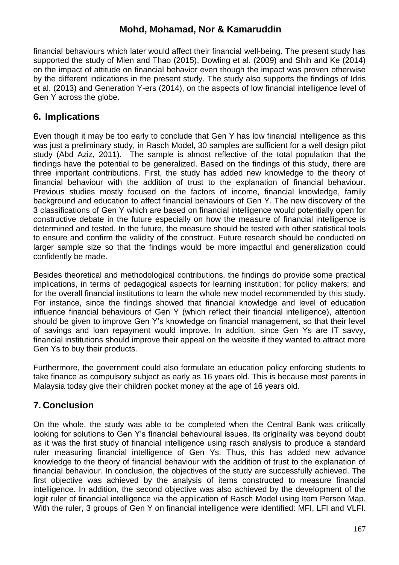financial behaviours which later would affect their financial well-being. The present study has supported the study of Mien and Thao (2015), Dowling et al. (2009) and Shih and Ke (2014) on the impact of attitude on financial behavior even though the impact was proven otherwise by the different indications in the present study. The study also supports the findings of Idris et al. (2013) and Generation Y-ers (2014), on the aspects of low financial intelligence level of Gen Y across the globe.

## **6. Implications**

Even though it may be too early to conclude that Gen Y has low financial intelligence as this was just a preliminary study, in Rasch Model, 30 samples are sufficient for a well design pilot study (Abd Aziz, 2011). The sample is almost reflective of the total population that the findings have the potential to be generalized. Based on the findings of this study, there are three important contributions. First, the study has added new knowledge to the theory of financial behaviour with the addition of trust to the explanation of financial behaviour. Previous studies mostly focused on the factors of income, financial knowledge, family background and education to affect financial behaviours of Gen Y. The new discovery of the 3 classifications of Gen Y which are based on financial intelligence would potentially open for constructive debate in the future especially on how the measure of financial intelligence is determined and tested. In the future, the measure should be tested with other statistical tools to ensure and confirm the validity of the construct. Future research should be conducted on larger sample size so that the findings would be more impactful and generalization could confidently be made.

Besides theoretical and methodological contributions, the findings do provide some practical implications, in terms of pedagogical aspects for learning institution; for policy makers; and for the overall financial institutions to learn the whole new model recommended by this study. For instance, since the findings showed that financial knowledge and level of education influence financial behaviours of Gen Y (which reflect their financial intelligence), attention should be given to improve Gen Y's knowledge on financial management, so that their level of savings and loan repayment would improve. In addition, since Gen Ys are IT savvy, financial institutions should improve their appeal on the website if they wanted to attract more Gen Ys to buy their products.

Furthermore, the government could also formulate an education policy enforcing students to take finance as compulsory subject as early as 16 years old. This is because most parents in Malaysia today give their children pocket money at the age of 16 years old.

## **7. Conclusion**

On the whole, the study was able to be completed when the Central Bank was critically looking for solutions to Gen Y's financial behavioural issues. Its originality was beyond doubt as it was the first study of financial intelligence using rasch analysis to produce a standard ruler measuring financial intelligence of Gen Ys. Thus, this has added new advance knowledge to the theory of financial behaviour with the addition of trust to the explanation of financial behaviour. In conclusion, the objectives of the study are successfully achieved. The first objective was achieved by the analysis of items constructed to measure financial intelligence. In addition, the second objective was also achieved by the development of the logit ruler of financial intelligence via the application of Rasch Model using Item Person Map. With the ruler, 3 groups of Gen Y on financial intelligence were identified: MFI, LFI and VLFI.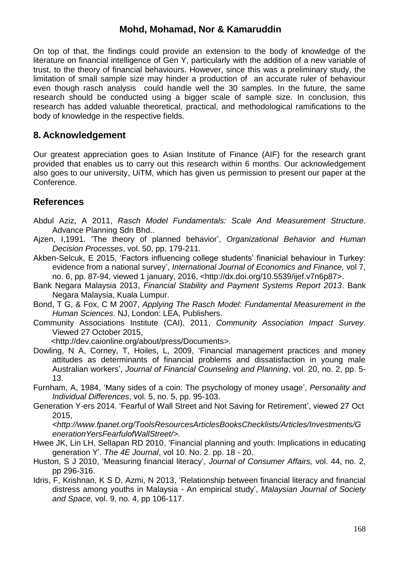On top of that, the findings could provide an extension to the body of knowledge of the literature on financial intelligence of Gen Y, particularly with the addition of a new variable of trust, to the theory of financial behaviours. However, since this was a preliminary study, the limitation of small sample size may hinder a production of an accurate ruler of behaviour even though rasch analysis could handle well the 30 samples. In the future, the same research should be conducted using a bigger scale of sample size. In conclusion, this research has added valuable theoretical, practical, and methodological ramifications to the body of knowledge in the respective fields.

### **8. Acknowledgement**

Our greatest appreciation goes to Asian Institute of Finance (AIF) for the research grant provided that enables us to carry out this research within 6 months. Our acknowledgement also goes to our university, UiTM, which has given us permission to present our paper at the Conference.

### **References**

- Abdul Aziz, A 2011, *Rasch Model Fundamentals: Scale And Measurement Structure*. Advance Planning Sdn Bhd..
- Ajzen, I,1991. 'The theory of planned behavior', *Organizational Behavior and Human Decision Processes*, vol. 50, pp. 179-211.
- Akben-Selcuk, E 2015, 'Factors influencing college students' finanicial behaviour in Turkey: evidence from a national survey', *International Journal of Economics and Finance,* vol 7, no. 6, pp*.* 87-94, viewed 1 january, 2016, <http://dx.doi.org/10.5539/ijef.v7n6p87>.
- Bank Negara Malaysia 2013, *Financial Stability and Payment Systems Report 2013*. Bank Negara Malaysia, Kuala Lumpur.
- Bond, T G, & Fox, C M 2007, *Applying The Rasch Model: Fundamental Measurement in the Human Sciences*. NJ, London: LEA, Publishers.
- Community Associations Institute (CAI), 2011, *Community Association Impact Survey*. Viewed 27 October 2015,

<http://dev.caionline.org/about/press/Documents>.

- Dowling, N A, Corney, T, Hoiles, L, 2009, 'Financial management practices and money attitudes as determinants of financial problems and dissatisfaction in young male Australian workers', *Journal of Financial Counseling and Planning*, vol. 20, no. 2, pp. 5- 13.
- Furnham, A, 1984, 'Many sides of a coin: The psychology of money usage', *Personality and Individual Differences*, vol. 5, no. 5, pp. 95-103.
- Generation Y-ers 2014. 'Fearful of Wall Street and Not Saving for Retirement', viewed 27 Oct 2015,

*<http://www.fpanet.org/ToolsResourcesArticlesBooksChecklists/Articles/Investments/G enerationYersFearfulofWallStreet/>.*

- Hwee JK, Lin LH, Sellapan RD 2010, 'Financial planning and youth: Implications in educating generation Y'. *The 4E Journal*, vol 10. No. 2. pp. 18 - 20.
- Huston, S J 2010, 'Measuring financial literacy', *Journal of Consumer Affairs,* vol. 44, no. 2, pp 296-316.
- Idris, F, Krishnan, K S D, Azmi, N 2013, 'Relationship between financial literacy and financial distress among youths in Malaysia - An empirical study', *Malaysian Journal of Society and Space,* vol. 9, no. 4, pp 106-117.